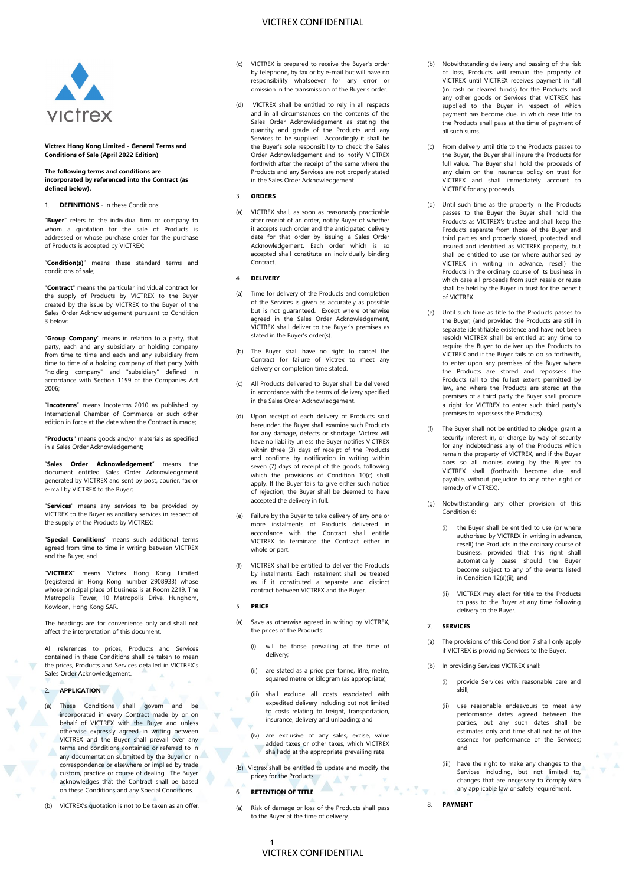# VICTREX CONFIDENTIAL



#### **Victrex Hong Kong Limited - General Terms and Conditions of Sale (April 2022 Edition)**

#### **The following terms and conditions are incorporated by referenced into the Contract (as defined below).**

### 1. **DEFINITIONS** - In these Conditions:

"**Buyer**" refers to the individual firm or company to whom a quotation for the sale of Products is addressed or whose purchase order for the purchase of Products is accepted by VICTREX;

"**Condition(s)**" means these standard terms and conditions of sale;

"**Contract**" means the particular individual contract for the supply of Products by VICTREX to the Buyer created by the issue by VICTREX to the Buyer of the Sales Order Acknowledgement pursuant to Condition 3 below;

"**Group Company**" means in relation to a party, that party, each and any subsidiary or holding company from time to time and each and any subsidiary from time to time of a holding company of that party (with "holding company" and "subsidiary" defined in accordance with Section 1159 of the Companies Act 2006;

"**Incoterms**" means Incoterms 2010 as published by International Chamber of Commerce or such other edition in force at the date when the Contract is made;

"**Products**" means goods and/or materials as specified in a Sales Order Acknowledgement;

"**Sales Order Acknowledgement**" means the document entitled Sales Order Acknowledgement generated by VICTREX and sent by post, courier, fax or e-mail by VICTREX to the Buyer;

"**Services**" means any services to be provided by VICTREX to the Buyer as ancillary services in respect of the supply of the Products by VICTREX;

"**Special Conditions**" means such additional terms agreed from time to time in writing between VICTREX and the Buyer; and

"**VICTREX**" means Victrex Hong Kong Limited (registered in Hong Kong number 2908933) whose whose principal place of business is at Room 2219, The Metropolis Tower, 10 Metropolis Drive, Hunghom, Kowloon, Hong Kong SAR.

The headings are for convenience only and shall not affect the interpretation of this document.

All references to prices, Products and Services contained in these Conditions shall be taken to mean the prices, Products and Services detailed in VICTREX's Sales Order Acknowledgement.

### 2. **APPLICATION**

(a) These Conditions shall govern and be incorporated in every Contract made by or on behalf of VICTREX with the Buyer and unless otherwise expressly agreed in writing between VICTREX and the Buyer shall prevail over any terms and conditions contained or referred to in any documentation submitted by the Buyer or in correspondence or elsewhere or implied by trade custom, practice or course of dealing. The Buyer acknowledges that the Contract shall be based on these Conditions and any Special Conditions.

(b) VICTREX's quotation is not to be taken as an offer.

- (c) VICTREX is prepared to receive the Buyer's order by telephone, by fax or by e-mail but will have no responsibility whatsoever for any error or omission in the transmission of the Buyer's order.
- (d) VICTREX shall be entitled to rely in all respects and in all circumstances on the contents of the Sales Order Acknowledgement as stating the quantity and grade of the Products and any Services to be supplied. Accordingly it shall be the Buyer's sole responsibility to check the Sales Order Acknowledgement and to notify VICTREX forthwith after the receipt of the same where the Products and any Services are not properly stated in the Sales Order Acknowledgement.

### 3. **ORDERS**

(a) VICTREX shall, as soon as reasonably practicable after receipt of an order, notify Buyer of whether it accepts such order and the anticipated delivery date for that order by issuing a Sales Order Acknowledgement. Each order which is so accepted shall constitute an individually binding Contract.

### 4. **DELIVERY**

- (a) Time for delivery of the Products and completion of the Services is given as accurately as possible but is not guaranteed. Except where otherwise agreed in the Sales Order Acknowledgement, VICTREX shall deliver to the Buyer's premises as stated in the Buyer's order(s).
- (b) The Buyer shall have no right to cancel the Contract for failure of Victrex to meet any delivery or completion time stated.
- (c) All Products delivered to Buyer shall be delivered in accordance with the terms of delivery specified in the Sales Order Acknowledgement.
- <span id="page-0-2"></span>(d) Upon receipt of each delivery of Products sold hereunder, the Buyer shall examine such Products for any damage, defects or shortage. Victrex will have no liability unless the Buyer notifies VICTREX within three (3) days of receipt of the Products and confirms by notification in writing within seven (7) days of receipt of the goods, following which the provisions of Condition [10\(c\)](#page-1-0) shall apply. If the Buyer fails to give either such notice of rejection, the Buyer shall be deemed to have accepted the delivery in full.
- (e) Failure by the Buyer to take delivery of any one or more instalments of Products delivered in accordance with the Contract shall entitle VICTREX to terminate the Contract either in whole or part.
- (f) VICTREX shall be entitled to deliver the Products by instalments. Each instalment shall be treated as if it constituted a separate and distinct contract between VICTREX and the Buyer.

# 5. **PRICE**

- Save as otherwise agreed in writing by VICTREX, the prices of the Products:
	- (i) will be those prevailing at the time of delivery;
	- (ii) are stated as a price per tonne, litre, metre, squared metre or kilogram (as appropriate);
	- (iii) shall exclude all costs associated with expedited delivery including but not limited to costs relating to freight, transportation, insurance, delivery and unloading; and
	- (iv) are exclusive of any sales, excise, value added taxes or other taxes, which VICTREX shall add at the appropriate prevailing rate.

 $\overline{\mathbb{V}}$ 

- (b) Victrex shall be entitled to update and modify the prices for the Products. AV
- <span id="page-0-0"></span>6. **RETENTION OF TITLE**
- Risk of damage or loss of the Products shall pass to the Buyer at the time of delivery.
- (b) Notwithstanding delivery and passing of the risk of loss, Products will remain the property of VICTREX until VICTREX receives payment in full (in cash or cleared funds) for the Products and any other goods or Services that VICTREX has supplied to the Buyer in respect of which payment has become due, in which case title to the Products shall pass at the time of payment of all such sums.
- (c) From delivery until title to the Products passes to the Buyer, the Buyer shall insure the Products for full value. The Buyer shall hold the proceeds of any claim on the insurance policy on trust for VICTREX and shall immediately account to VICTREX for any proceeds.
- (d) Until such time as the property in the Products passes to the Buyer the Buyer shall hold the Products as VICTREX's trustee and shall keep the Products separate from those of the Buyer and third parties and properly stored, protected and insured and identified as VICTREX property, but shall be entitled to use (or where authorised by VICTREX in writing in advance, resell) the Products in the ordinary course of its business in which case all proceeds from such resale or reuse shall be held by the Buyer in trust for the benefit of VICTREX.
- (e) Until such time as title to the Products passes to the Buyer, (and provided the Products are still in separate identifiable existence and have not been resold) VICTREX shall be entitled at any time to require the Buyer to deliver up the Products to VICTREX and if the Buyer fails to do so forthwith, to enter upon any premises of the Buyer where the Products are stored and repossess the Products (all to the fullest extent permitted by law, and where the Products are stored at the premises of a third party the Buyer shall procure a right for VICTREX to enter such third party's premises to repossess the Products).
- (f) The Buyer shall not be entitled to pledge, grant a security interest in, or charge by way of security for any indebtedness any of the Products which remain the property of VICTREX, and if the Buyer does so all monies owing by the Buyer to VICTREX shall (forthwith become due and payable, without prejudice to any other right or remedy of VICTREX).
- Notwithstanding any other provision of this Conditio[n 6:](#page-0-0)
	- the Buyer shall be entitled to use (or where authorised by VICTREX in writing in advance, resell) the Products in the ordinary course of business, provided that this right shall automatically cease should the Buyer become subject to any of the events listed in Condition 12(a)(ii); and
	- (ii) VICTREX may elect for title to the Products to pass to the Buyer at any time following delivery to the Buyer.

### <span id="page-0-1"></span>7. **SERVICES**

- The provisions of this Conditio[n 7](#page-0-1) shall only apply if VICTREX is providing Services to the Buyer.
- In providing Services VICTREX shall:
	- (i) provide Services with reasonable care and skill;
	- (ii) use reasonable endeavours to meet any performance dates agreed between the parties, but any such dates shall be estimates only and time shall not be of the essence for performance of the Services; and
	- (iii) have the right to make any changes to the Services including, but not limited to, changes that are necessary to comply with any applicable law or safety requirement.

### 8. **PAYMENT**

 $\overline{\mathcal{A}}$ 

1 VICTREX CONFIDENTIAL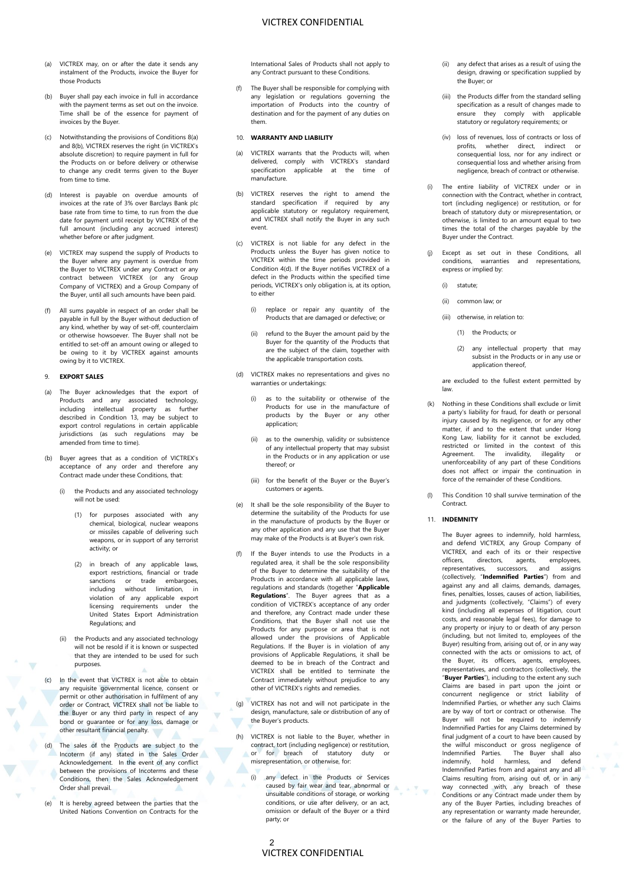- VICTREX CONFIDENTIAL
- <span id="page-1-1"></span>(a) VICTREX may, on or after the date it sends any instalment of the Products, invoice the Buyer for those Products
- <span id="page-1-2"></span>(b) Buyer shall pay each invoice in full in accordance with the payment terms as set out on the invoice. Time shall be of the essence for payment of invoices by the Buyer.
- (c) Notwithstanding the provisions of Condition[s 8\(a\)](#page-1-1) an[d 8\(b\),](#page-1-2) VICTREX reserves the right (in VICTREX's absolute discretion) to require payment in full for the Products on or before delivery or otherwise to change any credit terms given to the Buyer from time to time.
- (d) Interest is payable on overdue amounts of invoices at the rate of 3% over Barclays Bank plc base rate from time to time, to run from the due date for payment until receipt by VICTREX of the full amount (including any accrued interest) whether before or after judgment.
- VICTREX may suspend the supply of Products to the Buyer where any payment is overdue from the Buyer to VICTREX under any Contract or any contract between VICTREX (or any Group Company of VICTREX) and a Group Company of the Buyer, until all such amounts have been paid.
- (f) All sums payable in respect of an order shall be payable in full by the Buyer without deduction of any kind, whether by way of set-off, counterclaim or otherwise howsoever. The Buyer shall not be entitled to set-off an amount owing or alleged to be owing to it by VICTREX against amounts owing by it to VICTREX.

### 9. **EXPORT SALES**

- (a) The Buyer acknowledges that the export of Products and any associated technology, including intellectual property as further described in Condition 13, may be subject to export control regulations in certain applicable jurisdictions (as such regulations may be amended from time to time).
- (b) Buyer agrees that as a condition of VICTREX's acceptance of any order and therefore any Contract made under these Conditions, that:
	- (i) the Products and any associated technology will not be used:
		- (1) for purposes associated with any chemical, biological, nuclear weapons or missiles capable of delivering such weapons, or in support of any terrorist activity; or
		- (2) in breach of any applicable laws, export restrictions, financial or trade sanctions or trade embargoes,<br>including without limitation, in without limitation, in violation of any applicable export licensing requirements under the United States Export Administration Regulations; and
	- (ii) the Products and any associated technology will not be resold if it is known or suspected that they are intended to be used for such purposes.
- (c) In the event that VICTREX is not able to obtain any requisite governmental licence, consent or permit or other authorisation in fulfilment of any order or Contract, VICTREX shall not be liable to the Buyer or any third party in respect of any bond or guarantee or for any loss, damage or other resultant financial penalty.
- (d) The sales of the Products are subject to the Incoterm (if any) stated in the Sales Order Acknowledgement. In the event of any conflict between the provisions of Incoterms and these Conditions, then the Sales Acknowledgement Order shall prevail.
- (e) It is hereby agreed between the parties that the United Nations Convention on Contracts for the

International Sales of Products shall not apply to any Contract pursuant to these Conditions.

(f) The Buyer shall be responsible for complying with any legislation or regulations governing the importation of Products into the country of destination and for the payment of any duties on them.

### 10. **WARRANTY AND LIABILITY**

- VICTREX warrants that the Products will, when delivered, comply with VICTREX's standard specification applicable at the time of manufacture.
- <span id="page-1-0"></span>(b) VICTREX reserves the right to amend the standard specification if required by any applicable statutory or regulatory requirement, and VICTREX shall notify the Buyer in any such event.
- (c) VICTREX is not liable for any defect in the Products unless the Buyer has given notice to VICTREX within the time periods provided in Condition [4\(d\).](#page-0-2) If the Buyer notifies VICTREX of a defect in the Products within the specified time periods, VICTREX's only obligation is, at its option, to either
	- (i) replace or repair any quantity of the Products that are damaged or defective; or
	- (ii) refund to the Buyer the amount paid by the Buyer for the quantity of the Products that are the subject of the claim, together with the applicable transportation costs.
- VICTREX makes no representations and gives no warranties or undertakings:
	- (i) as to the suitability or otherwise of the Products for use in the manufacture of products by the Buyer or any other application;
	- (ii) as to the ownership, validity or subsistence of any intellectual property that may subsist in the Products or in any application or use thereof; or
	- (iii) for the benefit of the Buyer or the Buyer's customers or agents.
- (e) It shall be the sole responsibility of the Buyer to determine the suitability of the Products for use in the manufacture of products by the Buyer or any other application and any use that the Buyer may make of the Products is at Buyer's own risk.
- If the Buyer intends to use the Products in a regulated area, it shall be the sole responsibility of the Buyer to determine the suitability of the Products in accordance with all applicable laws, regulations and standards (together "**Applicable Regulations**". The Buyer agrees that as a condition of VICTREX's acceptance of any order and therefore, any Contract made under these Conditions, that the Buyer shall not use the Products for any purpose or area that is not allowed under the provisions of Applicable Regulations. If the Buyer is in violation of any provisions of Applicable Regulations, it shall be deemed to be in breach of the Contract and VICTREX shall be entitled to terminate the Contract immediately without prejudice to any other of VICTREX's rights and remedies.
- (g) VICTREX has not and will not participate in the design, manufacture, sale or distribution of any of the Buyer's products.
- (h) VICTREX is not liable to the Buyer, whether in contract, tort (including negligence) or restitution, or for breach of statutory duty or misrepresentation, or otherwise, for:
	- (i) any defect in the Products or Services caused by fair wear and tear, abnormal or unsuitable conditions of storage, or working conditions, or use after delivery, or an act, omission or default of the Buyer or a third party; or

 $\mathfrak{p}$ 

- (ii) any defect that arises as a result of using the design, drawing or specification supplied by the Buyer; or
- (iii) the Products differ from the standard selling specification as a result of changes made to ensure they comply with applicable statutory or regulatory requirements; or
- (iv) loss of revenues, loss of contracts or loss of profits, whether direct, indirect or consequential loss, nor for any indirect or consequential loss and whether arising from negligence, breach of contract or otherwise.
- (i) The entire liability of VICTREX under or in connection with the Contract, whether in contract, tort (including negligence) or restitution, or for breach of statutory duty or misrepresentation, or otherwise, is limited to an amount equal to two times the total of the charges payable by the Buyer under the Contract.
- Except as set out in these Conditions, all conditions, warranties and representations, express or implied by:
	- (i) statute;
	- (ii) common law; or
	- (iii) otherwise, in relation to:
		- (1) the Products; or
		- (2) any intellectual property that may subsist in the Products or in any use or application thereof,

are excluded to the fullest extent permitted by law.

- Nothing in these Conditions shall exclude or limit a party's liability for fraud, for death or personal injury caused by its negligence, or for any other matter, if and to the extent that under Hong Kong Law, liability for it cannot be excluded, restricted or limited in the context of this Agreement. The invalidity, illegality or unenforceability of any part of these Conditions does not affect or impair the continuation in force of the remainder of these Conditions.
- This Condition 10 shall survive termination of the Contract.

### 11. **INDEMNITY**

The Buyer agrees to indemnify, hold harmless, and defend VICTREX, any Group Company of VICTREX, and each of its or their respective<br>officers, directors, agents, employees, directors, agents, representatives, successors, and assigns (collectively, "**Indemnified Parties**") from and against any and all claims, demands, damages, fines, penalties, losses, causes of action, liabilities, and judgments (collectively, "Claims") of every kind (including all expenses of litigation, court costs, and reasonable legal fees), for damage to any property or injury to or death of any person (including, but not limited to, employees of the Buyer) resulting from, arising out of, or in any way connected with the acts or omissions to act, of the Buyer, its officers, agents, employees, representatives, and contractors (collectively, the "**Buyer Parties**"), including to the extent any such Claims are based in part upon the joint or concurrent negligence or strict liability of Indemnified Parties, or whether any such Claims are by way of tort or contract or otherwise. The Buyer will not be required to indemnify Indemnified Parties for any Claims determined by final judgment of a court to have been caused by the wilful misconduct or gross negligence of Indemnified Parties. The Buyer shall also indemnify, hold harmless, and defend Indemnified Parties from and against any and all Claims resulting from, arising out of, or in any way connected with, any breach of these Conditions or any Contract made under them by any of the Buyer Parties, including breaches of any representation or warranty made hereunder, or the failure of any of the Buyer Parties to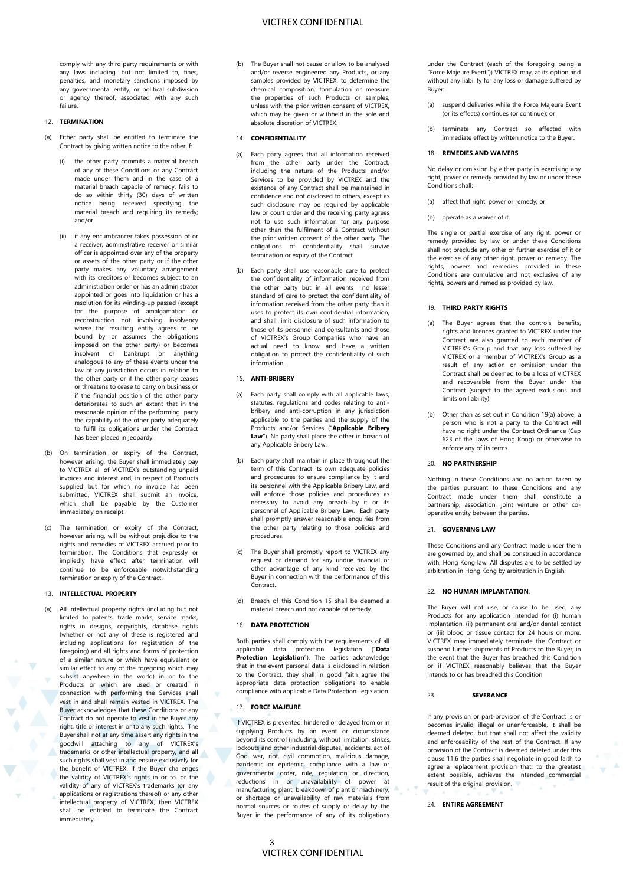# VICTREX CONFIDENTIAL

comply with any third party requirements or with any laws including, but not limited to, fines, penalties, and monetary sanctions imposed by any governmental entity, or political subdivision or agency thereof, associated with any such failure.

# 12. **TERMINATION**

- (a) Either party shall be entitled to terminate the Contract by giving written notice to the other if:
	- the other party commits a material breach of any of these Conditions or any Contract made under them and in the case of a material breach capable of remedy, fails to do so within thirty (30) days of written notice being received specifying the material breach and requiring its remedy; and/or
	- (ii) if any encumbrancer takes possession of or a receiver, administrative receiver or similar officer is appointed over any of the property or assets of the other party or if the other party makes any voluntary arrangement with its creditors or becomes subject to an administration order or has an administrator appointed or goes into liquidation or has a resolution for its winding-up passed (except for the purpose of amalgamation or reconstruction not involving insolvency where the resulting entity agrees to be bound by or assumes the obligations imposed on the other party) or becomes insolvent or bankrupt or anything analogous to any of these events under the law of any jurisdiction occurs in relation to the other party or if the other party ceases or threatens to cease to carry on business or if the financial position of the other party deteriorates to such an extent that in the reasonable opinion of the performing party the capability of the other party adequately to fulfil its obligations under the Contract has been placed in jeopardy.
- (b) On termination or expiry of the Contract, however arising, the Buyer shall immediately pay to VICTREX all of VICTREX's outstanding unpaid invoices and interest and, in respect of Products supplied but for which no invoice has been submitted, VICTREX shall submit an invoice, which shall be payable by the Customer immediately on receipt.
- The termination or expiry of the Contract, however arising, will be without prejudice to the rights and remedies of VICTREX accrued prior to termination. The Conditions that expressly or impliedly have effect after termination will continue to be enforceable notwithstanding termination or expiry of the Contract.

# 13. **INTELLECTUAL PROPERTY**

(a) All intellectual property rights (including but not limited to patents, trade marks, service marks, rights in designs, copyrights, database rights (whether or not any of these is registered and including applications for registration of the foregoing) and all rights and forms of protection of a similar nature or which have equivalent or similar effect to any of the foregoing which may subsist anywhere in the world) in or to the Products or which are used or created in connection with performing the Services shall vest in and shall remain vested in VICTREX. The Buyer acknowledges that these Conditions or any Contract do not operate to vest in the Buyer any right, title or interest in or to any such rights. The Buyer shall not at any time assert any rights in the goodwill attaching to any of VICTREX's produill attaching to any of VICTREX's<br>trademarks or other intellectual property, and all such rights shall vest in and ensure exclusively for the benefit of VICTREX. If the Buyer challenges the validity of VICTREX's rights in or to, or the validity of any of VICTREX's trademarks (or any applications or registrations thereof) or any other intellectual property of VICTREX, then VICTREX shall be entitled to terminate the Contract immediately.

(b) The Buyer shall not cause or allow to be analysed and/or reverse engineered any Products, or any samples provided by VICTREX, to determine the chemical composition, formulation or measure the properties of such Products or samples, unless with the prior written consent of VICTREX, which may be given or withheld in the sole and absolute discretion of VICTREX.

### 14. **CONFIDENTIALITY**

- (a) Each party agrees that all information received from the other party under the Contract, including the nature of the Products and/or Services to be provided by VICTREX and the existence of any Contract shall be maintained in confidence and not disclosed to others, except as such disclosure may be required by applicable law or court order and the receiving party agrees not to use such information for any purpose other than the fulfilment of a Contract without the prior written consent of the other party. The obligations of confidentiality shall survive termination or expiry of the Contract.
- (b) Each party shall use reasonable care to protect the confidentiality of information received from the other party but in all events no lesser standard of care to protect the confidentiality of information received from the other party than it uses to protect its own confidential information, and shall limit disclosure of such information to those of its personnel and consultants and those of VICTREX's Group Companies who have an actual need to know and have a written obligation to protect the confidentiality of such information.

### 15. **ANTI-BRIBERY**

- (a) Each party shall comply with all applicable laws, statutes, regulations and codes relating to antibribery and anti-corruption in any jurisdiction applicable to the parties and the supply of the Products and/or Services ("**Applicable Bribery Law**"). No party shall place the other in breach of any Applicable Bribery Law.
- (b) Each party shall maintain in place throughout the term of this Contract its own adequate policies and procedures to ensure compliance by it and its personnel with the Applicable Bribery Law, and will enforce those policies and procedures as necessary to avoid any breach by it or its personnel of Applicable Bribery Law. Each party shall promptly answer reasonable enquiries from the other party relating to those policies and procedures.
- (c) The Buyer shall promptly report to VICTREX any request or demand for any undue financial or other advantage of any kind received by the Buyer in connection with the performance of this Contract.
- (d) Breach of this Condition 15 shall be deemed a material breach and not capable of remedy.

# 16. **DATA PROTECTION**

Both parties shall comply with the requirements of all applicable data protection legislation ("**Data Protection Legislation**"). The parties acknowledge that in the event personal data is disclosed in relation to the Contract, they shall in good faith agree the appropriate data protection obligations to enable compliance with applicable Data Protection Legislation.

### 17. **FORCE MAJEURE**

If VICTREX is prevented, hindered or delayed from or in supplying Products by an event or circumstance beyond its control (including, without limitation, strikes, lockouts and other industrial disputes, accidents, act of God, war, riot, civil commotion, malicious damage, pandemic or epidemic, compliance with a law or governmental order, rule, regulation or direction, reductions in or unavailability of power at manufacturing plant, breakdown of plant or machinery, or shortage or unavailability of raw materials from normal sources or routes of supply or delay by the Buyer in the performance of any of its obligations

under the Contract (each of the foregoing being a "Force Majeure Event")) VICTREX may, at its option and without any liability for any loss or damage suffered by Buyer:

- (a) suspend deliveries while the Force Majeure Event (or its effects) continues (or continue); or
- (b) terminate any Contract so affected with immediate effect by written notice to the Buyer.

# 18. **REMEDIES AND WAIVERS**

No delay or omission by either party in exercising any right, power or remedy provided by law or under these Conditions shall:

- (a) affect that right, power or remedy; or
- (b) operate as a waiver of it.

The single or partial exercise of any right, power or remedy provided by law or under these Conditions shall not preclude any other or further exercise of it or the exercise of any other right, power or remedy. The rights, powers and remedies provided in these Conditions are cumulative and not exclusive of any rights, powers and remedies provided by law.

### 19. **THIRD PARTY RIGHTS**

- (a) The Buyer agrees that the controls, benefits, rights and licences granted to VICTREX under the Contract are also granted to each member of VICTREX's Group and that any loss suffered by VICTREX or a member of VICTREX's Group as a result of any action or omission under the Contract shall be deemed to be a loss of VICTREX and recoverable from the Buyer under the Contract (subject to the agreed exclusions and limits on liability).
- (b) Other than as set out in Condition 19(a) above, a person who is not a party to the Contract will have no right under the Contract Ordinance (Cap 623 of the Laws of Hong Kong) or otherwise to enforce any of its terms.

#### 20. **NO PARTNERSHIP**

Nothing in these Conditions and no action taken by the parties pursuant to these Conditions and any Contract made under them shall constitute a partnership, association, joint venture or other cooperative entity between the parties.

### 21. **GOVERNING LAW**

These Conditions and any Contract made under them are governed by, and shall be construed in accordance with, Hong Kong law. All disputes are to be settled by arbitration in Hong Kong by arbitration in English.

#### 22. **NO HUMAN IMPLANTATION**.

The Buyer will not use, or cause to be used, any Products for any application intended for (i) human implantation, (ii) permanent oral and/or dental contact or (iii) blood or tissue contact for 24 hours or more. VICTREX may immediately terminate the Contract or suspend further shipments of Products to the Buyer, in the event that the Buyer has breached this Condition or if VICTREX reasonably believes that the Buyer intends to or has breached this Condition

# 23. **SEVERANCE**

If any provision or part-provision of the Contract is or becomes invalid, illegal or unenforceable, it shall be deemed deleted, but that shall not affect the validity and enforceability of the rest of the Contract. If any provision of the Contract is deemed deleted under this clause 11.6 the parties shall negotiate in good faith to agree a replacement provision that, to the greatest extent possible, achieves the intended commercial result of the original provision.

24. **ENTIRE AGREEMENT**